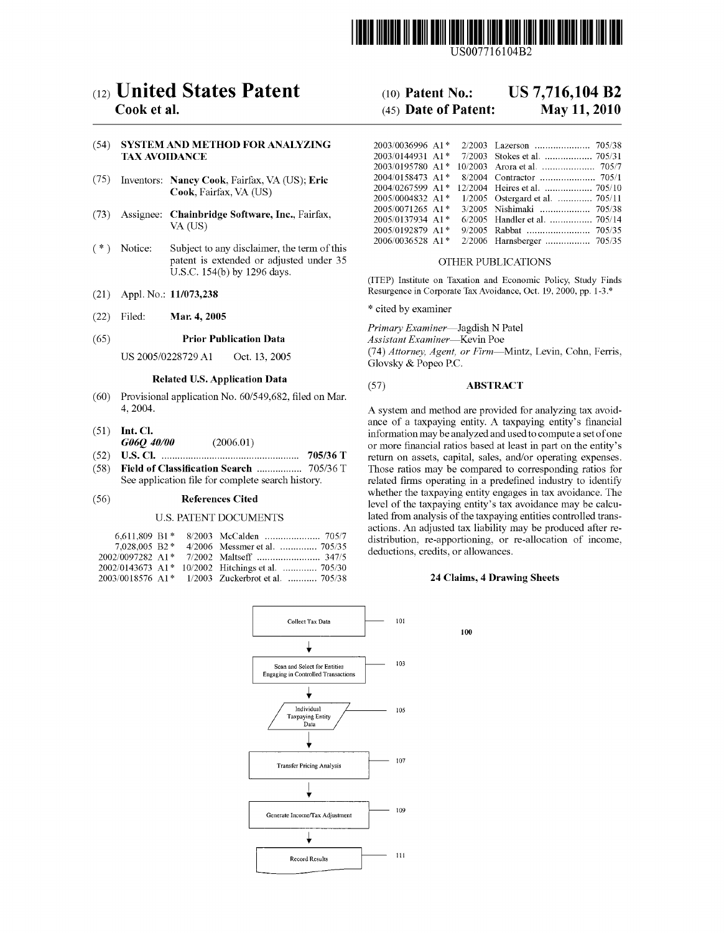

US007716104B2

# $(12)$  United States Patent  $(10)$  Patent No.: US 7,716,104 B2

### (54) SYSTEM AND METHOD FOR ANALYZING TAX AVOIDANCE

- (75) Inventors: **Nancy Cook**, Fairfax, VA (US); **Eric Cook**, Fairfax, VA (US)
- 
- \_ \_ \_ \_ \_ 2006/0036528 A1 \* 2/2006 Harnsberger ............... .. 705/35 ( \* ) Not1ce: Subject to any disclaimer, the term of th1s patent is extended or adjusted under 35 OTHER PUBLICATIONS U.S.C. 154(b) by 1296 days.
- 
- Filed: **Mar. 4, 2005** \* cited by examiner (22) F1led: Mar. 4, 2005

### (65) **Prior Publication Data** *Assistant Examiner*—Kevin Poe

- (60) Provisional application No.  $60/549,682$ , filed on Mar. 4, 2004.
- 
- 
- 

### U.S. PATENT DOCUMENTS

| 6,611,809 B1*    |  |                                                   |
|------------------|--|---------------------------------------------------|
| $7.028.005$ B2 * |  | 4/2006 Messmer et al.  705/35                     |
|                  |  |                                                   |
|                  |  | 2002/0143673 A1* 10/2002 Hitchings et al.  705/30 |
|                  |  | 2003/0018576 A1* 1/2003 Zuckerbrot et al.  705/38 |



## Cook et al. (45) Date of Patent: May 11, 2010

|  |                                                     | (54) SYSTEM AND METHOD FOR ANALYZING               |                                                      |  |
|--|-----------------------------------------------------|----------------------------------------------------|------------------------------------------------------|--|
|  | <b>TAX AVOIDANCE</b>                                |                                                    |                                                      |  |
|  |                                                     |                                                    |                                                      |  |
|  |                                                     | (75) Inventors: Nancy Cook, Fairfax, VA (US); Eric |                                                      |  |
|  | Cook, Fairfax, VA (US)                              |                                                    |                                                      |  |
|  |                                                     |                                                    | $2005/0004832$ A1* $1/2005$ Ostergard et al.  705/11 |  |
|  | (73) Assignee: Chainbridge Software, Inc., Fairfax, |                                                    |                                                      |  |
|  |                                                     |                                                    |                                                      |  |
|  |                                                     | VA (US)                                            |                                                      |  |
|  |                                                     |                                                    |                                                      |  |

(ITEP) Institute on Taxation and Economic Policy, Study Finds (21) Appl. No.: 11/073,238 Resurgence in Corporate Tax Avoidance, Oct. 19, 2000, pp. 1-3.\*

Primary Examiner-Jagdish N Patel

US 2005/0228729 A1 Oct. 13, 2005 (74) Attorney, Agent, or Firm—Mintz, Levin, Cohn, Ferris, Glovsky & Popeo P.C.

## Related U.S. Application Data (57) ABSTRACT

A system and method are provided for analyzing tax avoidance of a taxpaying entity. A taxpaying entity's financial (51) Int. Cl.<br>  $G \rightarrow 0$  (2006.01)  $G \rightarrow 0$  (2006.01)  $G \rightarrow 0$  information may be analyzed and used to compute a set of one  $G\ell\ell Q$  40/00 (2006.01) or more financial ratios based at least in part on the entity's (52) U.S. CL (2006.01) or more financial ratios based at least in part on the entity's (52) US. Cl. .................................................. .. 705/36 T return on assets, Capital, sales, and/Or Operating expenses, (58) Field of Classi?cation Search ............... .. 705/36 T Those ratios may be compared to corresponding ratios for related firms operating in a predefined industry to identify (56) **References Cited** Whether the taxpaying entity engages in tax avoidance. The level of the taxpaying entity's tax avoidance may be calcu lated from analysis of the taxpaying entities controlled trans actions. An adjusted tax liability may be produced after redistribution, re-apportioning, or re-allocation of income, deductions, credits, or allowances.

### 24 Claims, 4 Drawing Sheets

100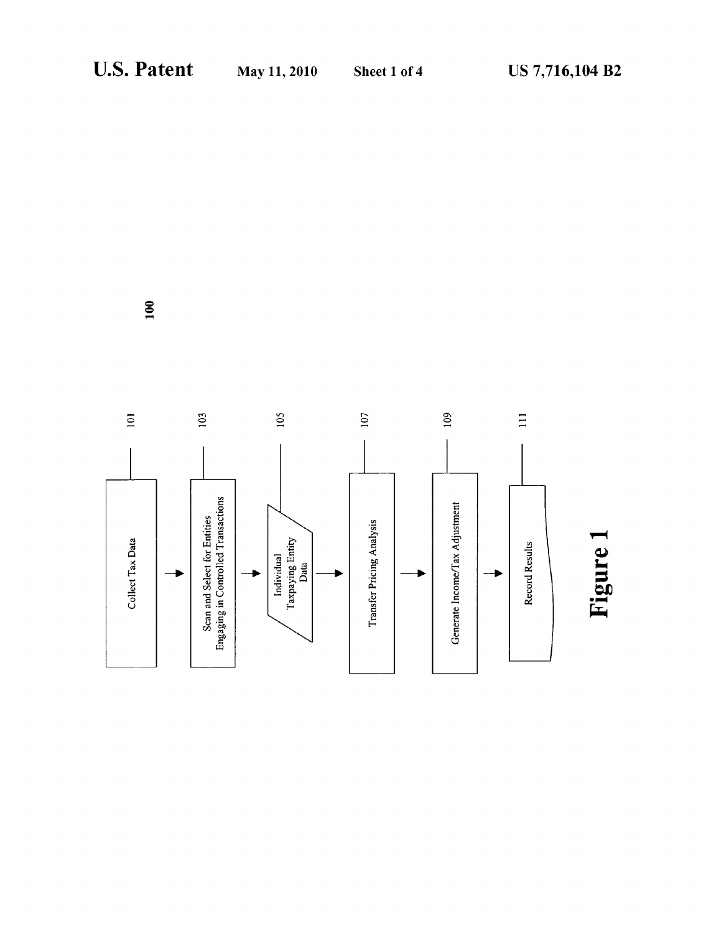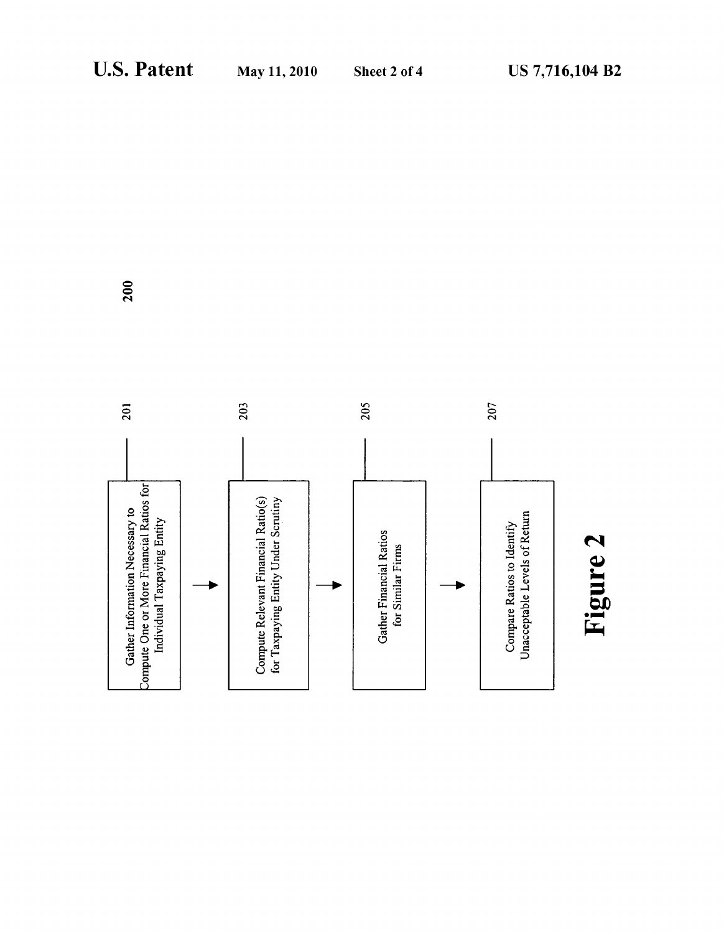

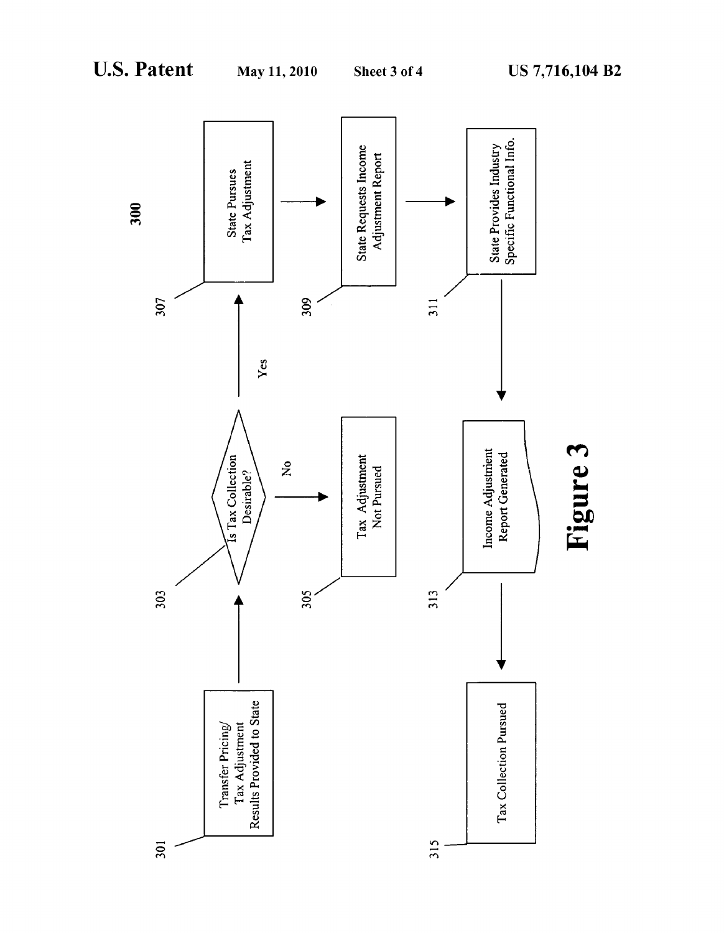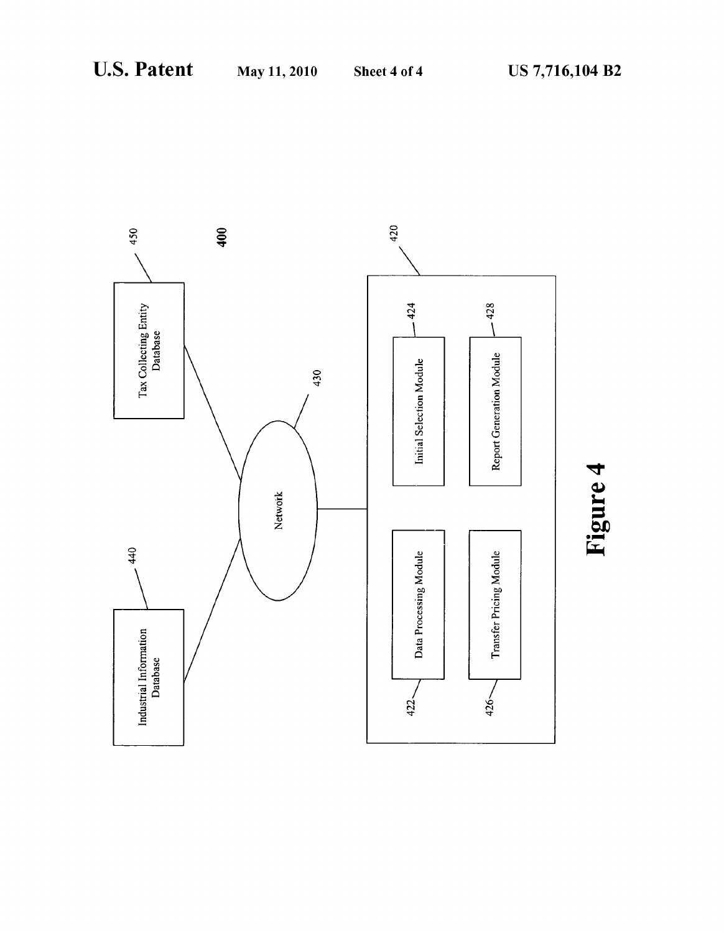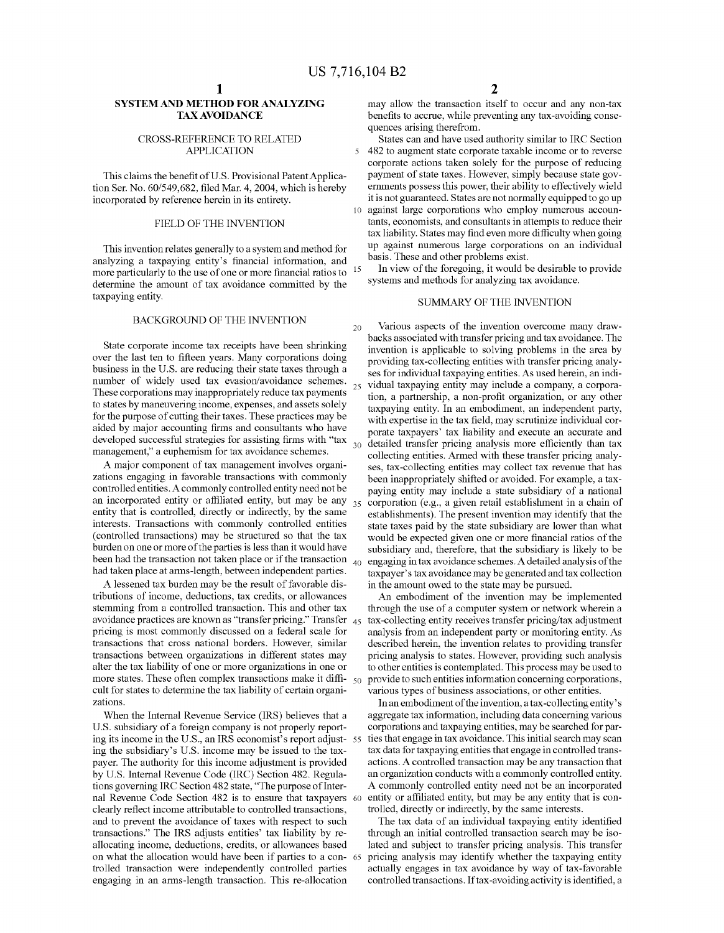$\overline{\mathbf{S}}$ 

### SYSTEM AND METHOD FOR ANALYZING TAX AVOIDANCE

### CROSS-REFERENCE TO RELATED APPLICATION

This claims the benefit of U.S. Provisional Patent Application Ser. No. 60/549,682, filed Mar. 4, 2004, which is hereby incorporated by reference herein in its entirety.

### FIELD OF THE INVENTION

This invention relates generally to a system and method for analyzing a taxpaying entity's financial information, and more particularly to the use of one or more financial ratios to  $15$ determine the amount of tax avoidance committed by the taxpaying entity.

### BACKGROUND OF THE INVENTION

State corporate income tax receipts have been shrinking over the last ten to fifteen years. Many corporations doing business in the US. are reducing their state taxes through a number of Widely used tax evasion/avoidance schemes. These corporations may inappropriately reduce tax payments to states by maneuvering income, expenses, and assets solely for the purpose of cutting their taxes. These practices may be aided by major accounting firms and consultants who have developed successful strategies for assisting firms with "tax  $_{30}$ management," a euphemism for tax avoidance schemes.

A major component of tax management involves organi Zations engaging in favorable transactions With commonly controlled entities. A commonly controlled entity need not be an incorporated entity or affiliated entity, but may be any  $_{35}$ entity that is controlled, directly or indirectly, by the same interests. Transactions With commonly controlled entities (controlled transactions) may be structured so that the tax burden on one or more of the parties is less than it Would have been had the transaction not taken place or if the transaction  $_{40}$ had taken place at arms-length, between independent parties.

A lessened tax burden may be the result of favorable dis tributions of income, deductions, tax credits, or alloWances stemming from a controlled transaction. This and other tax avoidance practices are known as "transfer pricing." Transfer  $\,$  45 pricing is most commonly discussed on a federal scale for transactions that cross national borders. HoWever, similar transactions betWeen organizations in different states may alter the tax liability of one or more organizations in one or more states. These often complex transactions make it diffi-  $_{50}$ cult for states to determine the tax liability of certain organi Zations.

When the Internal Revenue Service (IRS) believes that a U.S. subsidiary of a foreign company is not properly reporting its income in the U.S., an IRS economist's report adjust- 55 ing the subsidiary's US. income may be issued to the tax payer. The authority for this income adjustment is provided by US. Internal Revenue Code (IRC) Section 482. Regula tions governing IRC Section 482 state, "The purpose of Inter nal Revenue Code Section 482 is to ensure that taxpayers 60 clearly reflect income attributable to controlled transactions, and to prevent the avoidance of taxes With respect to such transactions." The IRS adjusts entities' tax liability by re allocating income, deductions, credits, or allowances based<br>on what the allocation would have been if parties to a con-65 trolled transaction Were independently controlled parties engaging in an arms-length transaction. This re-allocation

may alloW the transaction itself to occur and any non-tax benefits to accrue, while preventing any tax-avoiding consequences arising therefrom.

States can and have used authority similar to IRC Section 482 to augment state corporate taxable income or to reverse corporate actions taken solely for the purpose of reducing payment of state taxes. However, simply because state governments possess this poWer, their ability to effectively Wield it is not guaranteed. States are not normally equipped to go up

against large corporations Who employ numerous accoun tants, economists, and consultants in attempts to reduce their tax liability. States may find even more difficulty when going up against numerous large corporations on an individual basis. These and other problems exist.

In vieW of the foregoing, it Would be desirable to provide systems and methods for analyzing tax avoidance.

### SUMMARY OF THE INVENTION

20 25 Various aspects of the invention overcome many draW backs associated With transfer pricing and tax avoidance. The invention is applicable to solving problems in the area by providing tax-collecting entities With transfer pricing analy ses for individual taxpaying entities. As used herein, an indi vidual taxpaying entity may include a company, a corpora tion, a partnership, a non-profit organization, or any other taxpaying entity. In an embodiment, an independent party, with expertise in the tax field, may scrutinize individual corporate taxpayers' tax liability and execute an accurate and detailed transfer pricing analysis more efficiently than tax collecting entities. Armed With these transfer pricing analy ses, tax-collecting entities may collect tax revenue that has been inappropriately shifted or avoided. For example, a tax paying entity may include a state subsidiary of a national corporation (e.g., a given retail establishment in a chain of establishments). The present invention may identify that the state taxes paid by the state subsidiary are lower than what would be expected given one or more financial ratios of the subsidiary and, therefore, that the subsidiary is likely to be engaging in tax avoidance schemes. A detailed analysis of the taxpayer's tax avoidance may be generated and tax collection in the amount oWed to the state may be pursued.

An embodiment of the invention may be implemented through the use of a computer system or network wherein a tax-collecting entity receives transfer pricing/tax adjustment analysis from an independent party or monitoring entity. As described herein, the invention relates to providing transfer pricing analysis to states. HoWever, providing such analysis to other entities is contemplated. This process may be used to provide to such entities information concerning corporations, various types of business associations, or other entities.

In an embodiment of the invention, a tax-collecting entity's aggregate tax information, including data concerning various corporations and taxpaying entities, may be searched for par ties that engage in tax avoidance. This initial search may scan tax data for taxpaying entities that engage in controlled trans actions. A controlled transaction may be any transaction that an organization conducts with a commonly controlled entity. A commonly controlled entity need not be an incorporated entity or affiliated entity, but may be any entity that is controlled, directly or indirectly, by the same interests.

The tax data of an individual taxpaying entity identified through an initial controlled transaction search may be iso lated and subject to transfer pricing analysis. This transfer pricing analysis may identify Whether the taxpaying entity actually engages in tax avoidance by Way of tax-favorable controlled transactions. If tax-avoiding activity is identified, a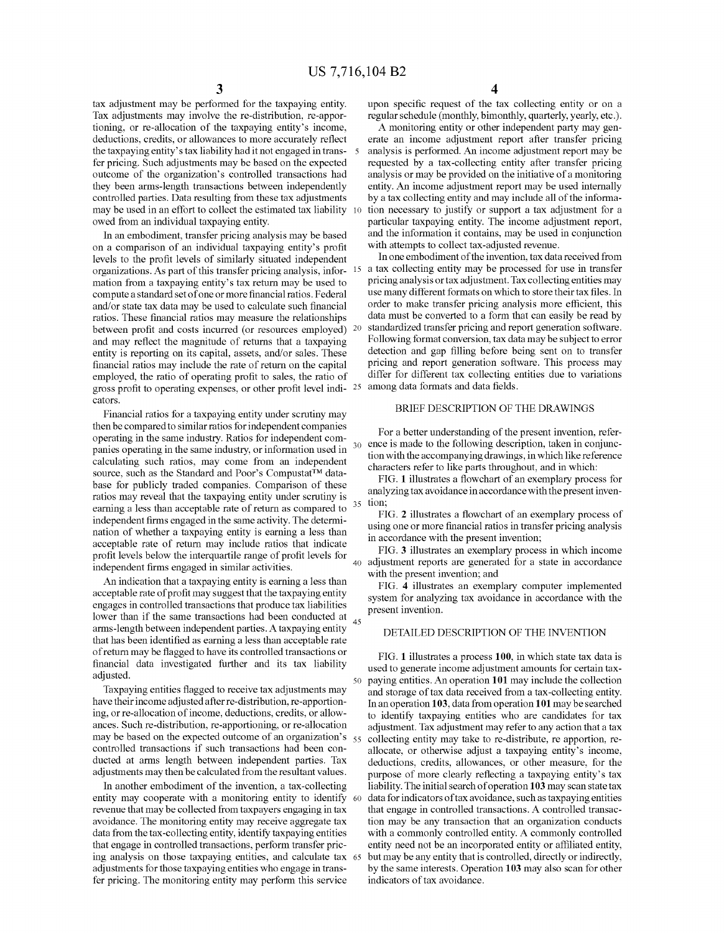15

35

tax adjustment may be performed for the taxpaying entity. Tax adjustments may involve the re-distribution, re-appor tioning, or re-allocation of the taxpaying entity's income, deductions, credits, or allowances to more accurately reflect the taxpaying entity's tax liability had it not engaged in trans- 5 fer pricing. Such adjustments may be based on the expected outcome of the organization's controlled transactions had they been arms-length transactions between independently controlled parties. Data resulting from these tax adjustments may be used in an effort to collect the estimated tax liability owed from an individual taxpaying entity.

In an embodiment, transfer pricing analysis may be based on a comparison of an individual taxpaying entity's profit levels to the profit levels of similarly situated independent organizations. As part of this transfer pricing analysis, infor mation from a taxpaying entity's tax return may be used to compute a standard set of one or more financial ratios. Federal and/or state tax data may be used to calculate such financial ratios. These financial ratios may measure the relationships between profit and costs incurred (or resources employed) 20 and may reflect the magnitude of returns that a taxpaying entity is reporting on its capital, assets, and/or sales. These financial ratios may include the rate of return on the capital employed, the ratio of operating profit to sales, the ratio of gross profit to operating expenses, or other profit level indi- $25$  among data formats and data fields. cators.

Financial ratios for a taxpaying entity under scrutiny may then be compared to similar ratios for independent companies operating in the same industry. Ratios for independent com panies operating in the same industry, or information used in calculating such ratios, may come from an independent source, such as the Standard and Poor's Compustat<sup>TM</sup> database for publicly traded companies. Comparison of these ratios may reveal that the taxpaying entity under scrutiny is earning a less than acceptable rate of return as compared to independent firms engaged in the same activity. The determination of whether a taxpaying entity is earning a less than acceptable rate of return may include ratios that indicate profit levels below the interquartile range of profit levels for independent firms engaged in similar activities.

An indication that a taxpaying entity is earning a less than acceptable rate of profit may suggest that the taxpaying entity engages in controlled transactions that produce tax liabilities lower than if the same transactions had been conducted at  $_{45}$ arms -length between independent parties. A taxpaying entity that has been identified as earning a less than acceptable rate of return may be flagged to have its controlled transactions or financial data investigated further and its tax liability adjusted.

Taxpaying entities flagged to receive tax adjustments may have their income adjusted after re-distribution, re-apportion ing, or re-allocation of income, deductions, credits, or allow ances. Such re-distribution, re-apportioning, or re-allocation may be based on the expected outcome of an organization's  $\frac{55}{100}$ controlled transactions if such transactions had been con ducted at arms length between independent parties. Tax adjustments may then be calculated from the resultant values.

In another embodiment of the invention, a tax-collecting revenue that may be collected from taxpayers engaging in tax avoidance. The monitoring entity may receive aggregate tax data from the tax-collecting entity, identify taxpaying entities that engage in controlled transactions, perform transfer pric ing analysis on those taxpaying entities, and calculate tax 65 adjustments for those taxpaying entities who engage in trans fer pricing. The monitoring entity may perform this service entity may cooperate with a monitoring entity to identify 60

upon specific request of the tax collecting entity or on a regular schedule (monthly, bimonthly, quarterly, yearly, etc.).

A monitoring entity or other independent party may gen erate an income adjustment report after transfer pricing analysis is performed. An income adjustment report may be requested by a tax-collecting entity after transfer pricing analysis or may be provided on the initiative of a monitoring entity. An income adjustment report may be used internally by a tax collecting entity and may include all of the informa tion necessary to justify or support a tax adjustment for a particular taxpaying entity. The income adjustment report, and the information it contains, may be used in conjunction with attempts to collect tax-adjusted revenue.

In one embodiment of the invention, tax data received from a tax collecting entity may be processed for use in transfer pricing analysis or tax adjustment. Tax collecting entities may use many different formats on which to store their tax files. In order to make transfer pricing analysis more efficient, this data must be converted to a form that can easily be read by standardized transfer pricing and report generation software. Following format conversion, tax data may be subject to error detection and gap filling before being sent on to transfer pricing and report generation software. This process may differ for different tax collecting entities due to variations

### BRIEF DESCRIPTION OF THE DRAWINGS

30 ence is made to the following description, taken in conjunc For a better understanding of the present invention, refer tion with the accompanying drawings, in which like reference characters refer to like parts throughout, and in which:

FIG. 1 illustrates a flowchart of an exemplary process for analyzing tax avoidance in accordance with the present invention;

FIG. 2 illustrates a flowchart of an exemplary process of using one or more financial ratios in transfer pricing analysis in accordance with the present invention;

40 adjustment reports are generated for a state in accordance FIG. 3 illustrates an exemplary process in which income with the present invention; and

FIG. 4 illustrates an exemplary computer implemented system for analyzing tax avoidance in accordance with the present invention.

### DETAILED DESCRIPTION OF THE INVENTION

50 paying entities. An operation 101 may include the collection FIG. 1 illustrates a process 100, in which state tax data is used to generate income adjustment amounts for certain tax and storage of tax data received from a tax-collecting entity. In an operation 103, data from operation 101 may be searched to identify taxpaying entities who are candidates for tax adjustment. Tax adjustment may refer to any action that a tax collecting entity may take to re-distribute, re apportion, re allocate, or otherwise adjust a taxpaying entity's income, deductions, credits, allowances, or other measure, for the purpose of more clearly reflecting a taxpaying entity's tax liability. The initial search of operation 103 may scan state tax data for indicators of tax avoidance, such as taxpaying entities that engage in controlled transactions. A controlled transac tion may be any transaction that an organization conducts with a commonly controlled entity. A commonly controlled entity need not be an incorporated entity or affiliated entity, but may be any entity that is controlled, directly or indirectly, by the same interests. Operation 103 may also scan for other indicators of tax avoidance.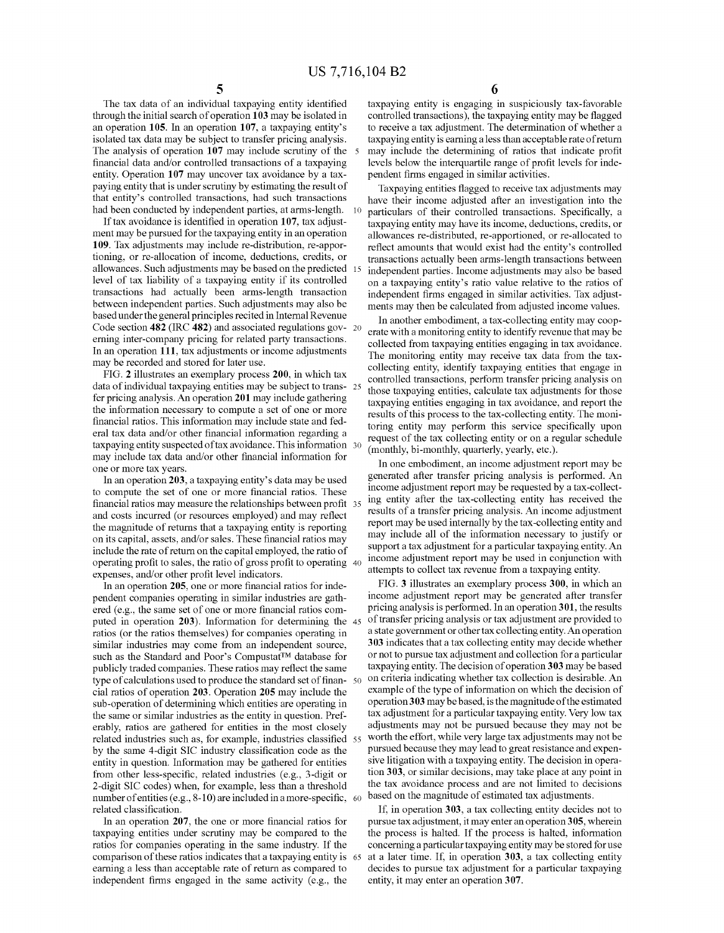The tax data of an individual taxpaying entity identified through the initial search of operation 103 may be isolated in an operation 105. In an operation 107, a taxpaying entity's isolated tax data may be subject to transfer pricing analysis. The analysis of operation 107 may include scrutiny of the 5 financial data and/or controlled transactions of a taxpaying entity. Operation 107 may uncover tax avoidance by a tax paying entity that is under scrutiny by estimating the result of that entity's controlled transactions, had such transactions had been conducted by independent parties, at arms-length. 10

If tax avoidance is identified in operation 107, tax adjustment may be pursued for the taxpaying entity in an operation 109. Tax adjustments may include re-distribution, re-appor tioning, or re-allocation of income, deductions, credits, or allowances. Such adjustments may be based on the predicted 15 level of tax liability of a taxpaying entity if its controlled transactions had actually been arms-length transaction between independent parties. Such adjustments may also be based under the general principles recited in Internal Revenue Code section  $482$  (IRC  $482$ ) and associated regulations gov- 20 erning inter-company pricing for related party transactions. In an operation 111, tax adjustments or income adjustments may be recorded and stored for later use.

FIG. 2 illustrates an exemplary process 200, in Which tax data of individual taxpaying entities may be subject to trans- 25 fer pricing analysis. An operation 201 may include gathering the information necessary to compute a set of one or more financial ratios. This information may include state and federal tax data and/or other financial information regarding a taxpaying entity suspected of tax avoidance. This information 30 may include tax data and/or other financial information for one or more tax years.

In an operation 203, a taxpaying entity's data may be used to compute the set of one or more financial ratios. These financial ratios may measure the relationships between profit 35 and costs incurred (or resources employed) and may reflect the magnitude of returns that a taxpaying entity is reporting on its capital, assets, and/or sales. These financial ratios may include the rate of return on the capital employed, the ratio of operating profit to sales, the ratio of gross profit to operating 40 expenses, and/or other profit level indicators.

In an operation 205, one or more financial ratios for independent companies operating in similar industries are gath ered (e.g., the same set of one or more financial ratios computed in operation 203). Information for determining the 45 ratios (or the ratios themselves) for companies operating in similar industries may come from an independent source, such as the Standard and Poor's Compustat™ database for publicly traded companies. These ratios may reflect the same type of calculations used to produce the standard set of finan- 50 cial ratios of operation 203. Operation 205 may include the sub-operation of determining Which entities are operating in the same or similar industries as the entity in question. Pref erably, ratios are gathered for entities in the most closely related industries such as, for example, industries classified 55 by the same 4-digit SIC industry classification code as the entity in question. Information may be gathered for entities from other less-specific, related industries (e.g., 3-digit or 2-digit SIC codes) When, for example, less than a threshold number of entities (e.g.,  $8-10$ ) are included in a more-specific,  $\,60$ related classification.

In an operation 207, the one or more financial ratios for taxpaying entities under scrutiny may be compared to the ratios for companies operating in the same industry. If the comparison of these ratios indicates that a taxpaying entity is 65 earning a less than acceptable rate of return as compared to independent firms engaged in the same activity (e.g., the

6

taxpaying entity is engaging in suspiciously tax-favorable controlled transactions), the taxpaying entity may be flagged to receive a tax adjustment. The determination of Whether a taxpaying entity is earning a less than acceptable rate of return may include the determining of ratios that indicate profit levels below the interquartile range of profit levels for independent firms engaged in similar activities.

Taxpaying entities flagged to receive tax adjustments may have their income adjusted after an investigation into the particulars of their controlled transactions. Specifically, a taxpaying entity may have its income, deductions, credits, or allowances re-distributed, re-apportioned, or re-allocated to reflect amounts that would exist had the entity's controlled transactions actually been arms-length transactions between independent parties. Income adjustments may also be based on a taxpaying entity's ratio value relative to the ratios of independent firms engaged in similar activities. Tax adjustments may then be calculated from adjusted income values.

In another embodiment, a tax-collecting entity may coop erate With a monitoring entity to identify revenue that may be collected from taxpaying entities engaging in tax avoidance. The monitoring entity may receive tax data from the tax collecting entity, identify taxpaying entities that engage in controlled transactions, perform transfer pricing analysis on those taxpaying entities, calculate tax adjustments for those taxpaying entities engaging in tax avoidance, and report the results of this process to the tax-collecting entity. The moni toring entity may perform this service specifically upon request of the tax collecting entity or on a regular schedule (monthly, bi-monthly, quarterly, yearly, etc.).

In one embodiment, an income adjustment report may be generated after transfer pricing analysis is performed. An income adjustment report may be requested by a tax-collect ing entity after the tax-collecting entity has received the results of a transfer pricing analysis. An income adjustment report may be used internally by the tax-collecting entity and may include all of the information necessary to justify or support a tax adjustment for a particular taxpaying entity. An income adjustment report may be used in conjunction With attempts to collect tax revenue from a taxpaying entity.

FIG. 3 illustrates an exemplary process 300, in Which an income adjustment report may be generated after transfer pricing analysis is performed. In an operation 301, the results of transfer pricing analysis or tax adjustment are provided to a state government or other tax collecting entity. An operation 303 indicates that a tax collecting entity may decide Whether or not to pursue tax adjustment and collection for a particular taxpaying entity. The decision of operation 303 may be based on criteria indicating Whether tax collection is desirable. An example of the type of information on Which the decision of operation 3 03 may be based, is the magnitude of the estimated tax adjustment for a particular taxpaying entity. Very low tax adjustments may not be pursued because they may not be Worth the effort, While very large tax adjustments may not be pursued because they may lead to great resistance and expen sive litigation With a taxpaying entity. The decision in opera tion 303, or similar decisions, may take place at any point in the tax avoidance process and are not limited to decisions based on the magnitude of estimated tax adjustments.

If, in operation 303, a tax collecting entity decides not to pursue tax adjustment, it may enter an operation 3 05, Wherein the process is halted. If the process is halted, information concerning a particular taxpaying entity may be stored foruse at a later time. If, in operation 303, a tax collecting entity decides to pursue tax adjustment for a particular taxpaying entity, it may enter an operation 307.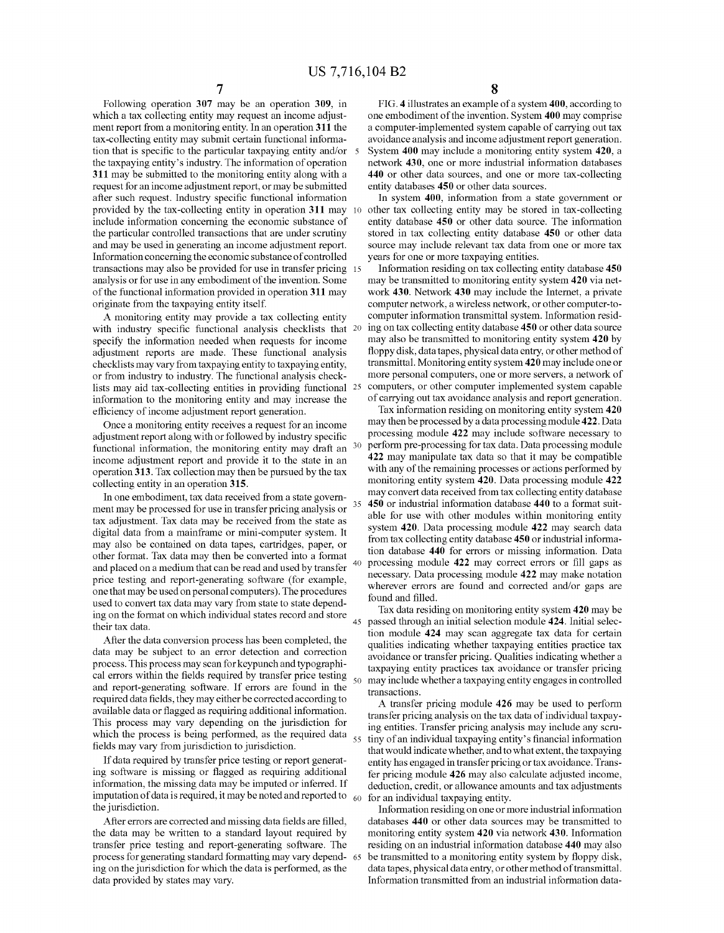35

40

45

50

65

Following operation 307 may be an operation 309, in which a tax collecting entity may request an income adjustment report from a monitoring entity. In an operation 311 the tax-collecting entity may submit certain functional informa tion that is specific to the particular taxpaying entity and/or  $\overline{\phantom{a}}$  5 the taxpaying entity's industry. The information of operation 311 may be submitted to the monitoring entity along with a request for an income adjustment report, or may be submitted after such request. Industry specific functional information provided by the tax-collecting entity in operation 311 may include information concerning the economic substance of the particular controlled transactions that are under scrutiny and may be used in generating an income adjustment report. Information concerning the economic sub stance of controlled transactions may also be provided for use in transfer pricing analysis or for use in any embodiment of the invention. Some of the functional information provided in operation 311 may originate from the taxpaying entity itself.

A monitoring entity may provide a tax collecting entity with industry specific functional analysis checklists that  $20$ specify the information needed when requests for income adjustment reports are made. These functional analysis checklists may vary from taxpaying entity to taxpaying entity, or from industry to industry. The functional analysis check lists may aid tax-collecting entities in providing functional 25 information to the monitoring entity and may increase the efficiency of income adjustment report generation.

Once a monitoring entity receives a request for an income adjustment report along with or followed by industry specific functional information, the monitoring entity may draft an  $30$ income adjustment report and provide it to the state in an operation 313. Tax collection may then be pursued by the tax collecting entity in an operation 315.

In one embodiment, tax data received from a state govem ment may be processed for use in transfer pricing analysis or tax adjustment. Tax data may be received from the state as digital data from a mainframe or mini-computer system. It may also be contained on data tapes, cartridges, paper, or other format. Tax data may then be converted into a format and placed on a medium that can be read and used by transfer price testing and report-generating software (for example, one that may be used on personal computers). The procedures used to convert tax data may vary from state to state depend ing on the format on which individual states record and store their tax data.

After the data conversion process has been completed, the data may be subject to an error detection and correction process. This process may scan for keypunch and typographi cal errors within the fields required by transfer price testing and report-generating software. If errors are found in the required data fields, they may either be corrected according to available data or flagged as requiring additional information. This process may vary depending on the jurisdiction for which the process is being performed, as the required data  $\frac{55}{ }$ fields may vary from jurisdiction to jurisdiction.

If data required by transfer price testing or report generat ing software is missing or flagged as requiring additional information, the missing data may be imputed or inferred. If imputation of data is required, it may be noted and reported to  $\,$   $_{60}$ the jurisdiction.

After errors are corrected and missing data fields are filled, the data may be written to a standard layout required by transfer price testing and report- generating software. The process for generating standard formatting may vary depend ing on the jurisdiction for which the data is performed, as the data provided by states may vary.

FIG. 4 illustrates an example of a system 400, according to one embodiment of the invention. System 400 may comprise a computer-implemented system capable of carrying out tax avoidance analysis and income adjustment report generation. System 400 may include a monitoring entity system 420, a network 430, one or more industrial information databases 440 or other data sources, and one or more tax-collecting entity databases 450 or other data sources.

In system 400, information from a state government or other tax collecting entity may be stored in tax-collecting entity database 450 or other data source. The information stored in tax collecting entity database 450 or other data source may include relevant tax data from one or more tax years for one or more taxpaying entities.

Information residing on tax collecting entity database 450 may be transmitted to monitoring entity system 420 via net work 430. Network 430 may include the Internet, a private computer network, a wireless network, or other computer-to computer information transmittal system. Information resid ing on tax collecting entity database 450 or other data source may also be transmitted to monitoring entity system 420 by floppy disk, data tapes, physical data entry, or other method of transmittal. Monitoring entity system 420 may include one or more personal computers, one or more servers, a network of computers, or other computer implemented system capable of carrying out tax avoidance analysis and report generation.

Tax information residing on monitoring entity system 420 may then be processed by a data processing module 422. Data processing module 422 may include software necessary to perform pre-processing for tax data. Data processing module 422 may manipulate tax data so that it may be compatible with any of the remaining processes or actions performed by monitoring entity system 420. Data processing module 422 may convert data received from tax collecting entity database 450 or industrial information database 440 to a format suit able for use with other modules within monitoring entity system 420. Data processing module 422 may search data from tax collecting entity database 450 or industrial informa tion database 440 for errors or missing information. Data processing module 422 may correct errors or fill gaps as necessary. Data processing module 422 may make notation wherever errors are found and corrected and/or gaps are found and filled.

Tax data residing on monitoring entity system 420 may be passed through an initial selection module 424. Initial selec tion module 424 may scan aggregate tax data for certain qualities indicating whether taxpaying entities practice tax avoidance or transfer pricing. Qualities indicating whether a taxpaying entity practices tax avoidance or transfer pricing may include whether a taxpaying entity engages in controlled transactions.

A transfer pricing module 426 may be used to perform transfer pricing analysis on the tax data of individual taxpay ing entities. Transfer pricing analysis may include any scru tiny of an individual taxpaying entity's financial information that would indicate whether, and to what extent, the taxpaying entity has engaged in transfer pricing or tax avoidance. Trans fer pricing module 426 may also calculate adjusted income, deduction, credit, or allowance amounts and tax adjustments for an individual taxpaying entity.

Information residing on one or more industrial information databases 440 or other data sources may be transmitted to monitoring entity system 420 via network 430. Information residing on an industrial information database 440 may also be transmitted to a monitoring entity system by floppy disk, data tapes, physical data entry, or other method of transmittal. Information transmitted from an industrial information data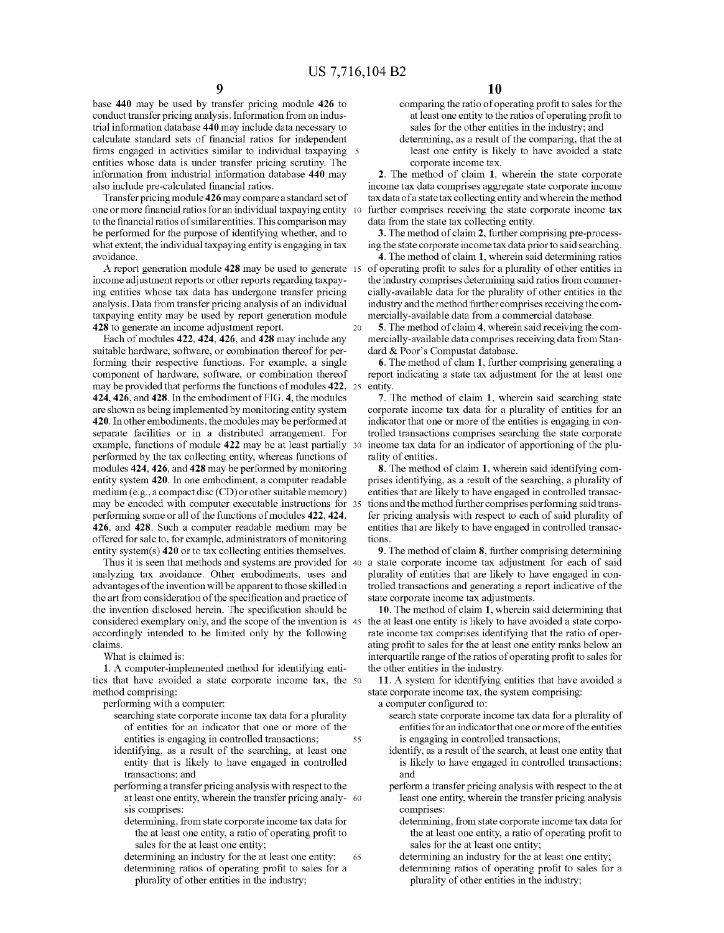base 440 may be used by transfer pricing module 426 to conduct transfer pricing analysis. Information from an indus trial information database 440 may include data necessary to calculate standard sets of financial ratios for independent firms engaged in activities similar to individual taxpaying 5 entities Whose data is under transfer pricing scrutiny. The information from industrial information database 440 may also include pre-calculated financial ratios.

Transfer pricing module 426 may compare a standard set of one or more financial ratios for an individual taxpaying entity to the financial ratios of similar entities. This comparison may be performed for the purpose of identifying Whether, and to What extent, the individual taxpaying entity is engaging in tax avoidance.

A report generation module 428 may be used to generate 15 income adjustment reports or other reports regarding taxpay ing entities Whose tax data has undergone transfer pricing analysis. Data from transfer pricing analysis of an individual taxpaying entity may be used by report generation module 428 to generate an income adjustment report. 20

Each of modules 422, 424, 426, and 428 may include any suitable hardware, software, or combination thereof for performing their respective functions. For example, a single component of hardware, software, or combination thereof may be provided that performs the functions of modules 422, 25 424, 426, and 428. In the embodiment of FIG. 4, the modules are shoWn as being implemented by monitoring entity system 420. In other embodiments, the modules may be performed at separate facilities or in a distributed arrangement. For example, functions of module 422 may be at least partially 30 performed by the tax collecting entity, Whereas functions of modules 424, 426, and 428 may be performed by monitoring entity system 420. In one embodiment, a computer readable medium (e.g., a compact disc (CD) or other suitable memory) may be encoded With computer executable instructions for 35 performing some or all of the functions of modules 422, 424, 426, and 428. Such a computer readable medium may be offered for sale to, for example, administrators of monitoring entity system(s) 420 or to tax collecting entities themselves.

analyzing tax avoidance. Other embodiments, uses and advantages of the invention Will be apparent to those skilled in the art from consideration of the specification and practice of the invention disclosed herein. The specification should be considered exemplary only, and the scope of the invention is 45 accordingly intended to be limited only by the folloWing claims.

What is claimed is:

1. A computer-implemented method for identifying enti ties that have avoided a state corporate income tax, the 50 method comprising:

performing With a computer:

- searching state corporate income tax data for a plurality of entities for an indicator that one or more of the entities is engaging in controlled transactions; 55
- identifying, as a result of the searching, at least one entity that is likely to have engaged in controlled transactions; and
- performing a transfer pricing analysis With respect to the at least one entity, Wherein the transfer pricing analy 60 sis comprises:
	- determining, from state corporate income tax data for the at least one entity, a ratio of operating profit to sales for the at least one entity;
	- determining an industry for the at least one entity; determining ratios of operating profit to sales for a plurality of other entities in the industry; 65
- comparing the ratio of operating profit to sales for the at least one entity to the ratios of operating profit to sales for the other entities in the industry; and
- determining, as a result of the comparing, that the at least one entity is likely to have avoided a state corporate income tax.

2. The method of claim 1, Wherein the state corporate income tax data comprises aggregate state corporate income tax data of a state tax collecting entity and Wherein the method further comprises receiving the state corporate income tax data from the state tax collecting entity.

3. The method of claim 2, further comprising pre-process ing the state corporate income tax data prior to said searching.

4. The method of claim 1, Wherein said determining ratios of operating profit to sales for a plurality of other entities in the industry comprises determining said ratios from commer cially-available data for the plurality of other entities in the industry and the method further comprises receiving the com mercially-available data from a commercial database.

5. The method of claim 4, Wherein said receiving the com mercially-available data comprises receiving data from Stan dard & Poor's Compustat database.

6. The method of clam 1, further comprising generating a report indicating a state tax adjustment for the at least one entity

7. The method of claim 1, Wherein said searching state corporate income tax data for a plurality of entities for an indicator that one or more of the entities is engaging in con trolled transactions comprises searching the state corporate income tax data for an indicator of apportioning of the plu rality of entities.

8. The method of claim 1, Wherein said identifying com prises identifying, as a result of the searching, a plurality of entities that are likely to have engaged in controlled transac tions and the method further comprises performing said trans fer pricing analysis With respect to each of said plurality of entities that are likely to have engaged in controlled transac tions.

Thus it is seen that methods and systems are provided for 40 a state corporate income tax adjustment for each of said 9. The method of claim 8, further comprising determining plurality of entities that are likely to have engaged in con trolled transactions and generating a report indicative of the state corporate income tax adjustments.

> 10. The method of claim 1, Wherein said determining that the at least one entity is likely to have avoided a state corpo rate income tax comprises identifying that the ratio of oper ating profit to sales for the at least one entity ranks below an interquartile range of the ratios of operating profit to sales for the other entities in the industry.

> 11. A system for identifying entities that have avoided a state corporate income tax, the system comprising:

a computer configured to:

- search state corporate income tax data for a plurality of entities for an indicator that one or more of the entities is engaging in controlled transactions;
- identify, as a result of the search, at least one entity that is likely to have engaged in controlled transactions; and
- perform a transfer pricing analysis With respect to the at least one entity, Wherein the transfer pricing analysis comprises:
	- determining, from state corporate income tax data for the at least one entity, a ratio of operating profit to sales for the at least one entity;
	- determining an industry for the at least one entity;
	- determining ratios of operating profit to sales for a plurality of other entities in the industry;